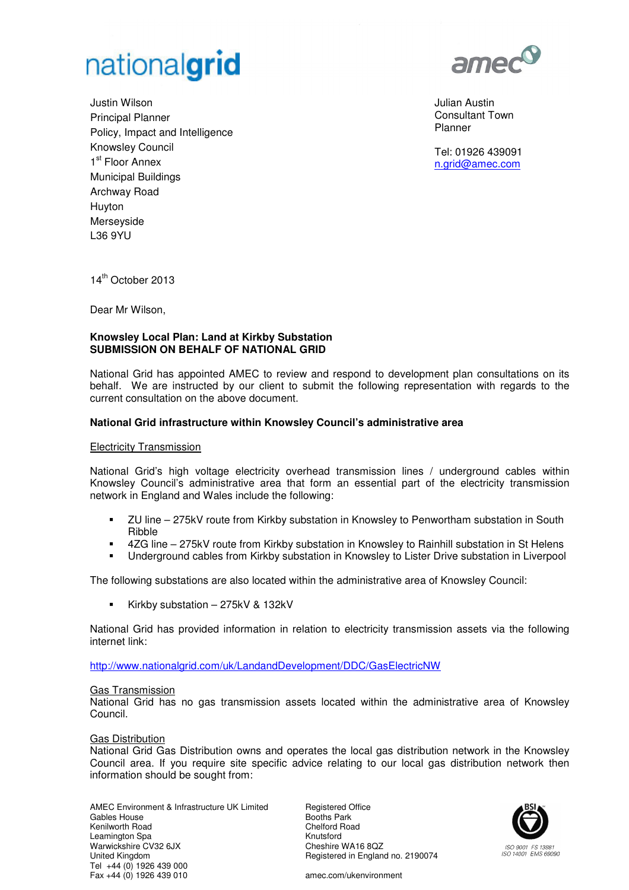

Justin Wilson Principal Planner Policy, Impact and Intelligence Knowsley Council 1<sup>st</sup> Floor Annex Municipal Buildings Archway Road Huyton Merseyside L36 9YU



Julian Austin Consultant Town Planner

Tel: 01926 439091 n.grid@amec.com

14<sup>th</sup> October 2013

Dear Mr Wilson,

## **Knowsley Local Plan: Land at Kirkby Substation SUBMISSION ON BEHALF OF NATIONAL GRID**

National Grid has appointed AMEC to review and respond to development plan consultations on its behalf. We are instructed by our client to submit the following representation with regards to the current consultation on the above document.

# **National Grid infrastructure within Knowsley Council's administrative area**

#### Electricity Transmission

National Grid's high voltage electricity overhead transmission lines / underground cables within Knowsley Council's administrative area that form an essential part of the electricity transmission network in England and Wales include the following:

- ZU line 275kV route from Kirkby substation in Knowsley to Penwortham substation in South Ribble
- 4ZG line 275kV route from Kirkby substation in Knowsley to Rainhill substation in St Helens
- Underground cables from Kirkby substation in Knowsley to Lister Drive substation in Liverpool

The following substations are also located within the administrative area of Knowsley Council:

Kirkby substation – 275kV & 132kV

National Grid has provided information in relation to electricity transmission assets via the following internet link:

http://www.nationalgrid.com/uk/LandandDevelopment/DDC/GasElectricNW

#### Gas Transmission

National Grid has no gas transmission assets located within the administrative area of Knowsley Council.

#### Gas Distribution

National Grid Gas Distribution owns and operates the local gas distribution network in the Knowsley Council area. If you require site specific advice relating to our local gas distribution network then information should be sought from:

AMEC Environment & Infrastructure UK Limited Gables House Kenilworth Road Leamington Spa Warwickshire CV32 6JX United Kingdom Tel +44 (0) 1926 439 000 Fax +44 (0) 1926 439 010

Registered Office Booths Park Chelford Road Knutsford Cheshire WA16 8QZ Registered in England no. 2190074



amec.com/ukenvironment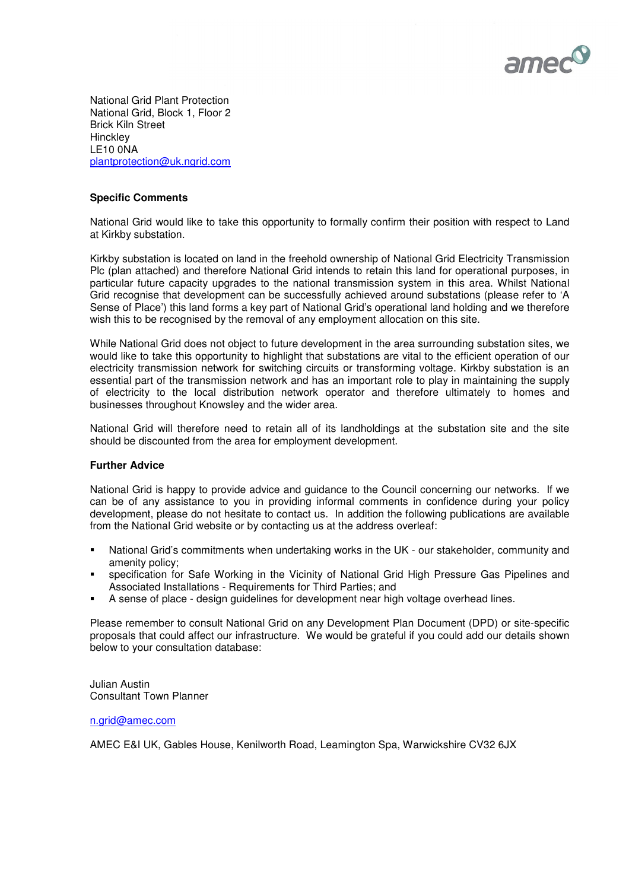

National Grid Plant Protection National Grid, Block 1, Floor 2 Brick Kiln Street **Hinckley** LE10 0NA plantprotection@uk.ngrid.com

## **Specific Comments**

National Grid would like to take this opportunity to formally confirm their position with respect to Land at Kirkby substation.

Kirkby substation is located on land in the freehold ownership of National Grid Electricity Transmission Plc (plan attached) and therefore National Grid intends to retain this land for operational purposes, in particular future capacity upgrades to the national transmission system in this area. Whilst National Grid recognise that development can be successfully achieved around substations (please refer to 'A Sense of Place') this land forms a key part of National Grid's operational land holding and we therefore wish this to be recognised by the removal of any employment allocation on this site.

While National Grid does not object to future development in the area surrounding substation sites, we would like to take this opportunity to highlight that substations are vital to the efficient operation of our electricity transmission network for switching circuits or transforming voltage. Kirkby substation is an essential part of the transmission network and has an important role to play in maintaining the supply of electricity to the local distribution network operator and therefore ultimately to homes and businesses throughout Knowsley and the wider area.

National Grid will therefore need to retain all of its landholdings at the substation site and the site should be discounted from the area for employment development.

#### **Further Advice**

National Grid is happy to provide advice and guidance to the Council concerning our networks. If we can be of any assistance to you in providing informal comments in confidence during your policy development, please do not hesitate to contact us. In addition the following publications are available from the National Grid website or by contacting us at the address overleaf:

- National Grid's commitments when undertaking works in the UK our stakeholder, community and amenity policy;
- specification for Safe Working in the Vicinity of National Grid High Pressure Gas Pipelines and Associated Installations - Requirements for Third Parties; and
- A sense of place design guidelines for development near high voltage overhead lines.

Please remember to consult National Grid on any Development Plan Document (DPD) or site-specific proposals that could affect our infrastructure. We would be grateful if you could add our details shown below to your consultation database:

Julian Austin Consultant Town Planner

#### n.grid@amec.com

AMEC E&I UK, Gables House, Kenilworth Road, Leamington Spa, Warwickshire CV32 6JX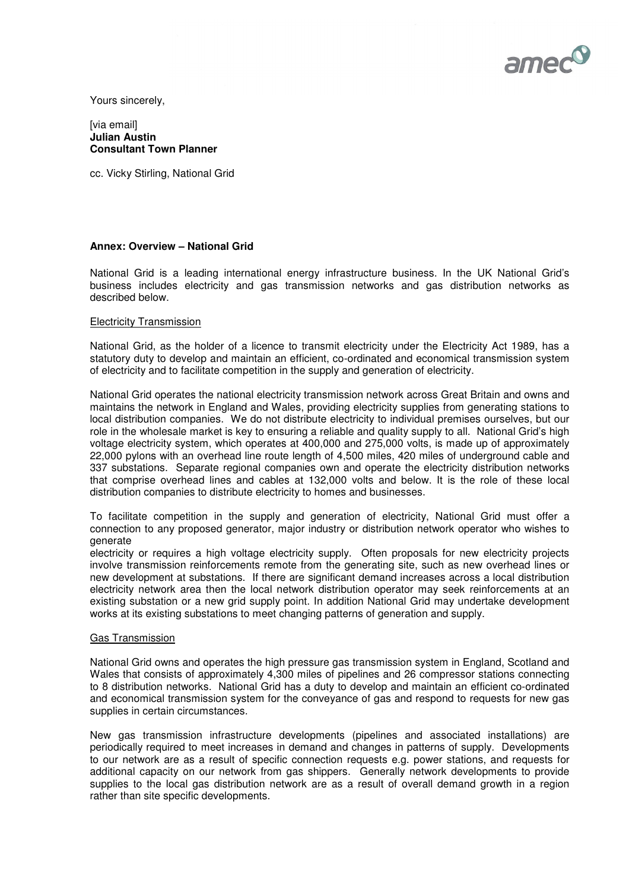

Yours sincerely,

#### [via email] **Julian Austin Consultant Town Planner**

cc. Vicky Stirling, National Grid

#### **Annex: Overview – National Grid**

National Grid is a leading international energy infrastructure business. In the UK National Grid's business includes electricity and gas transmission networks and gas distribution networks as described below.

#### Electricity Transmission

National Grid, as the holder of a licence to transmit electricity under the Electricity Act 1989, has a statutory duty to develop and maintain an efficient, co-ordinated and economical transmission system of electricity and to facilitate competition in the supply and generation of electricity.

National Grid operates the national electricity transmission network across Great Britain and owns and maintains the network in England and Wales, providing electricity supplies from generating stations to local distribution companies. We do not distribute electricity to individual premises ourselves, but our role in the wholesale market is key to ensuring a reliable and quality supply to all. National Grid's high voltage electricity system, which operates at 400,000 and 275,000 volts, is made up of approximately 22,000 pylons with an overhead line route length of 4,500 miles, 420 miles of underground cable and 337 substations. Separate regional companies own and operate the electricity distribution networks that comprise overhead lines and cables at 132,000 volts and below. It is the role of these local distribution companies to distribute electricity to homes and businesses.

To facilitate competition in the supply and generation of electricity, National Grid must offer a connection to any proposed generator, major industry or distribution network operator who wishes to generate

electricity or requires a high voltage electricity supply. Often proposals for new electricity projects involve transmission reinforcements remote from the generating site, such as new overhead lines or new development at substations. If there are significant demand increases across a local distribution electricity network area then the local network distribution operator may seek reinforcements at an existing substation or a new grid supply point. In addition National Grid may undertake development works at its existing substations to meet changing patterns of generation and supply.

#### Gas Transmission

National Grid owns and operates the high pressure gas transmission system in England, Scotland and Wales that consists of approximately 4,300 miles of pipelines and 26 compressor stations connecting to 8 distribution networks. National Grid has a duty to develop and maintain an efficient co-ordinated and economical transmission system for the conveyance of gas and respond to requests for new gas supplies in certain circumstances.

New gas transmission infrastructure developments (pipelines and associated installations) are periodically required to meet increases in demand and changes in patterns of supply. Developments to our network are as a result of specific connection requests e.g. power stations, and requests for additional capacity on our network from gas shippers. Generally network developments to provide supplies to the local gas distribution network are as a result of overall demand growth in a region rather than site specific developments.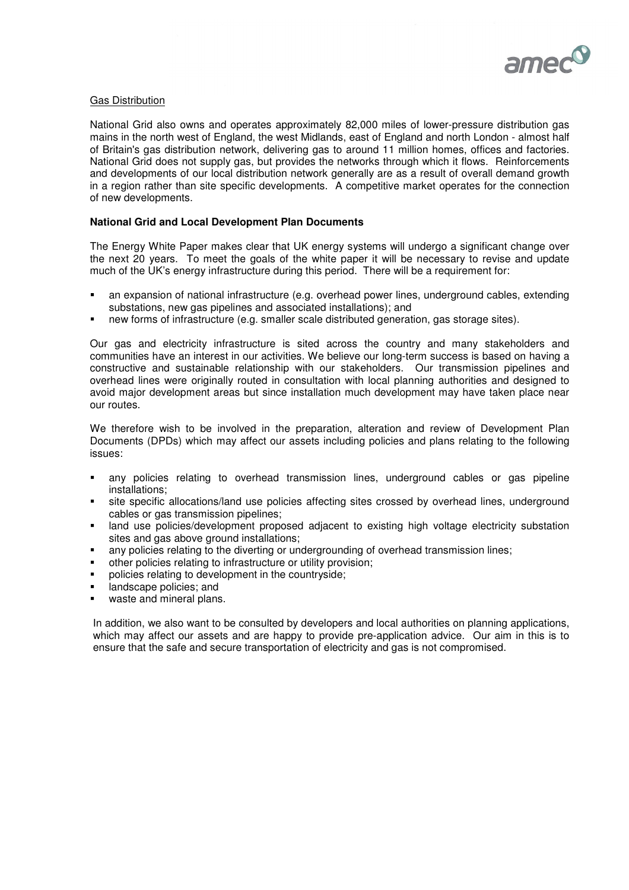

### Gas Distribution

National Grid also owns and operates approximately 82,000 miles of lower-pressure distribution gas mains in the north west of England, the west Midlands, east of England and north London - almost half of Britain's gas distribution network, delivering gas to around 11 million homes, offices and factories. National Grid does not supply gas, but provides the networks through which it flows. Reinforcements and developments of our local distribution network generally are as a result of overall demand growth in a region rather than site specific developments. A competitive market operates for the connection of new developments.

### **National Grid and Local Development Plan Documents**

The Energy White Paper makes clear that UK energy systems will undergo a significant change over the next 20 years. To meet the goals of the white paper it will be necessary to revise and update much of the UK's energy infrastructure during this period. There will be a requirement for:

- an expansion of national infrastructure (e.g. overhead power lines, underground cables, extending substations, new gas pipelines and associated installations); and
- new forms of infrastructure (e.g. smaller scale distributed generation, gas storage sites).

Our gas and electricity infrastructure is sited across the country and many stakeholders and communities have an interest in our activities. We believe our long-term success is based on having a constructive and sustainable relationship with our stakeholders. Our transmission pipelines and overhead lines were originally routed in consultation with local planning authorities and designed to avoid major development areas but since installation much development may have taken place near our routes.

We therefore wish to be involved in the preparation, alteration and review of Development Plan Documents (DPDs) which may affect our assets including policies and plans relating to the following issues:

- any policies relating to overhead transmission lines, underground cables or gas pipeline installations;
- site specific allocations/land use policies affecting sites crossed by overhead lines, underground cables or gas transmission pipelines;
- land use policies/development proposed adjacent to existing high voltage electricity substation sites and gas above ground installations;
- any policies relating to the diverting or undergrounding of overhead transmission lines;
- other policies relating to infrastructure or utility provision;
- policies relating to development in the countryside;
- **If and scape policies; and**
- waste and mineral plans.

In addition, we also want to be consulted by developers and local authorities on planning applications, which may affect our assets and are happy to provide pre-application advice. Our aim in this is to ensure that the safe and secure transportation of electricity and gas is not compromised.